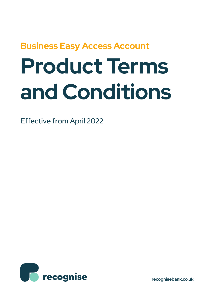## **Business Easy Access Account**

# **Product Terms and Conditions**

Effective from April 2022



**recognisebank.co.uk**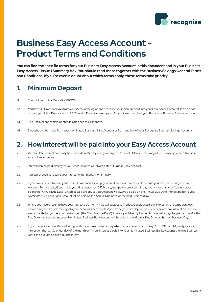

### **Business Easy Access Account - Product Terms and Conditions**

**You can find the specific terms for your Business Easy Access Account in this document and in your Business Easy Access – Issue 1 Summary Box. You should read these together with the Business Savings General Terms and Conditions. If you're ever in doubt about which terms apply, these terms take priority.**

#### **1. Minimum Deposit**

- 1.1. The minimum Initial Deposit is £1,000
- 1.2. You have 30 Calendar Days from your Account being opened to make your Initial Deposit into your Easy Access Account, if we do not receive your Initial Deposit within 30 Calendar Days of opening your Account, we may close your Recognise Business Savings Account.
- 1.3. The Account can remain open with a balance of £1 or above.
- 1.4. Deposits can be made from your Nominated Business Bank Account or from another of your Recognise Business Savings Accounts.

#### **2. How interest will be paid into your Easy Access Account**

- 2.1. We calculate interest on a daily basis based on 365 days per year on your Account Balance. This is adjusted in any leap year to take into account an extra day.
- 2.2. Interest can be paid directly to your Account or to your Nominated Business Bank Account.
- 2.3. You can choose to receive your interest either monthly or annually.
- 2.4. If you have chosen to have your interest paid annually, we pay interest on the anniversary of the date you first paid money into your Account. For example, if you made your first deposit on 2 February, we'll pay interest on this day every year that your Account stays open (the "Annual Due Date"). Interest paid directly to your Account will always be paid on the Annual Due Date. Interest paid into your Nominated Business Bank Account will be paid on the Annual Due Date, or the next Business Day.
- 2.5. Where you have chosen to have your interest paid monthly, we will, subject to Product Condition 2.6, pay interest on the same date each month that you first paid money into your Account. For example, if you made your first deposit on 2 February, we'll pay interest on this day every month that your Account stays open (the "Monthly Due Date"). Interest paid directly to your Account will always be paid on the Monthly Due Date. Interest paid into your Nominated Business Bank Account will be paid on the Monthly Due Date, or the next Business Day.
- 2.6. If you made your Initial Deposit into your Account on a Calendar Day which is not in every month, e.g. 29th, 30th or 31st, we'll pay your interest on the last Calendar day of the month or (if your interest is paid into your Nominated Business Bank Account) the next Business Day if the due date is not a Business Day.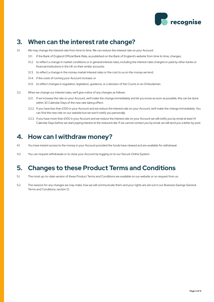

#### **3. When can the interest rate change?**

- 3.1. We may change the interest rate from time to time. We can reduce the interest rate on your Account:
	- 3.1.1. if the Bank of England Official Bank Rate, as published on the Bank of England's website from time to time, changes;
	- 3.1.2. to reflect a change in market conditions or in general interest rates, including the interest rates charged or paid by other banks or financial institutions in the UK on their similar accounts;
	- 3.1.3. to reflect a change in the money market interest rates or the cost to us on the money we lend;
	- 3.1.4. If the costs of running your Account increase; or
	- 3.1.5. to reflect changes in regulation, legislation, guidance, or a decision of the Courts or an Ombudsman.
- 3.2. When we change our interest rates, we'll give notice of any changes as follows:
	- 3.2.1. If we increase the rate on your Account, we'll make the change immediately and let you know as soon as possible, this can be done within 30 Calendar Days of the new rate taking effect.
	- 3.2.2. If you have less than £100 in your Account and we reduce the interest rate on your Account, we'll make the change immediately. You can find the new rate on our website but we won't notify you personally.
	- 3.2.3. If you have more than £100 in your Account and we reduce the interest rate on your Account we will notify you by email at least 14 Calendar Days before we start paying interest at the reduced rate. If we cannot contact you by email, we will send you a letter by post.

#### **4. How can I withdraw money?**

- 4.1. You have instant access to the money in your Account provided the funds have cleared and are available for withdrawal.
- 4.2. You can request withdrawals or to close your Account by logging on to our Secure Online System.

#### **5. Changes to these Product Terms and Conditions**

- 5.1. The most up-to-date version of these Product Terms and Conditions are available on our website or on request from us.
- 5.2. The reasons for any changes we may make, how we will communicate them and your rights are set out in our Business Savings General Terms and Conditions, section 12.